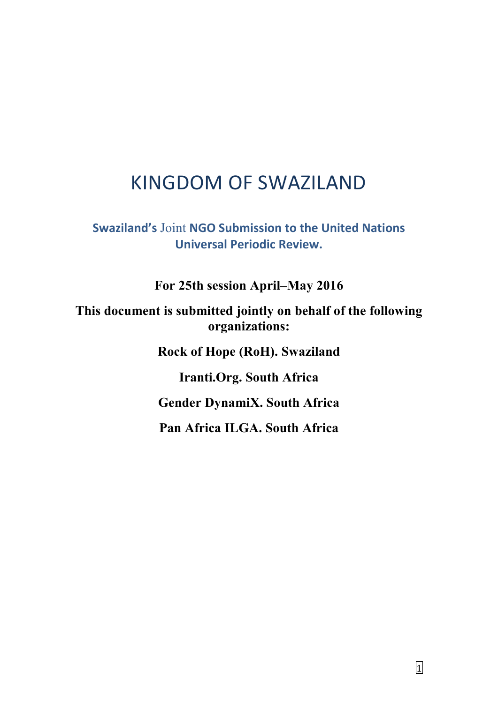# KINGDOM OF SWAZILAND

**Swaziland's** Joint **NGO Submission to the United Nations Universal Periodic Review.**

**For 25th session April–May 2016**

**This document is submitted jointly on behalf of the following organizations:**

**Rock of Hope (RoH). Swaziland**

**Iranti.Org. South Africa**

**Gender DynamiX. South Africa**

**Pan Africa ILGA. South Africa**

1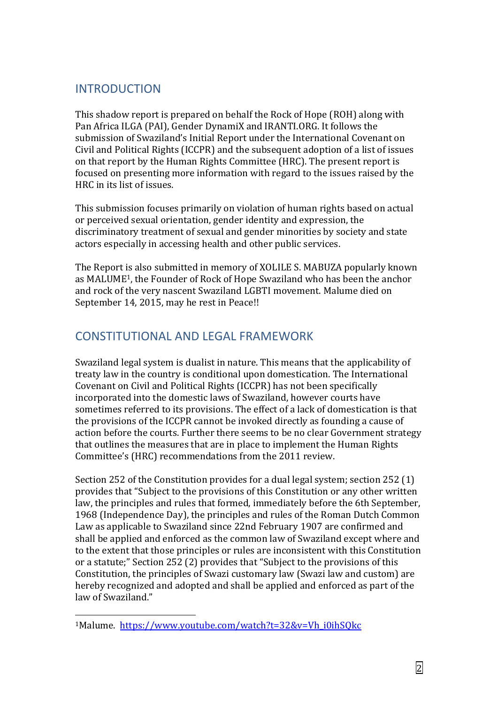## INTRODUCTION

This shadow report is prepared on behalf the Rock of Hope (ROH) along with Pan Africa ILGA (PAI), Gender DynamiX and IRANTI.ORG. It follows the submission of Swaziland's Initial Report under the International Covenant on Civil and Political Rights (ICCPR) and the subsequent adoption of a list of issues on that report by the Human Rights Committee (HRC). The present report is focused on presenting more information with regard to the issues raised by the HRC in its list of issues.

This submission focuses primarily on violation of human rights based on actual or perceived sexual orientation, gender identity and expression, the discriminatory treatment of sexual and gender minorities by society and state actors especially in accessing health and other public services.

The Report is also submitted in memory of XOLILE S. MABUZA popularly known as MALUME1, the Founder of Rock of Hope Swaziland who has been the anchor and rock of the very nascent Swaziland LGBTI movement. Malume died on September 14, 2015, may he rest in Peace!!

# CONSTITUTIONAL AND LEGAL FRAMEWORK

Swaziland legal system is dualist in nature. This means that the applicability of treaty law in the country is conditional upon domestication. The International Covenant on Civil and Political Rights (ICCPR) has not been specifically incorporated into the domestic laws of Swaziland, however courts have sometimes referred to its provisions. The effect of a lack of domestication is that the provisions of the ICCPR cannot be invoked directly as founding a cause of action before the courts. Further there seems to be no clear Government strategy that outlines the measures that are in place to implement the Human Rights Committee's (HRC) recommendations from the 2011 review.

Section 252 of the Constitution provides for a dual legal system; section 252 (1) provides that "Subject to the provisions of this Constitution or any other written law, the principles and rules that formed, immediately before the 6th September, 1968 (Independence Day), the principles and rules of the Roman Dutch Common Law as applicable to Swaziland since 22nd February 1907 are confirmed and shall be applied and enforced as the common law of Swaziland except where and to the extent that those principles or rules are inconsistent with this Constitution or a statute;" Section 252 (2) provides that "Subject to the provisions of this Constitution, the principles of Swazi customary law (Swazi law and custom) are hereby recognized and adopted and shall be applied and enforced as part of the law of Swaziland."

1

<sup>1</sup>Malume. [https://www.youtube.com/watch?t=32&v=Vh\\_i0ihSQkc](https://www.youtube.com/watch?t=32&v=Vh_i0ihSQkc)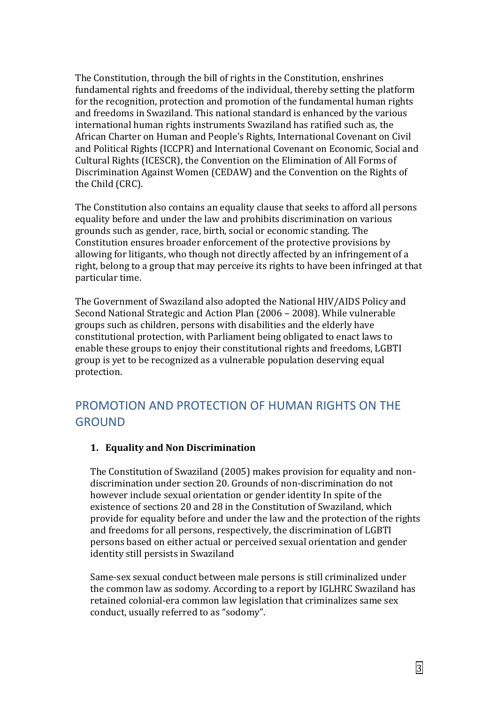The Constitution, through the bill of rights in the Constitution, enshrines fundamental rights and freedoms of the individual, thereby setting the platform for the recognition, protection and promotion of the fundamental human rights and freedoms in Swaziland. This national standard is enhanced by the various international human rights instruments Swaziland has ratified such as, the African Charter on Human and People's Rights, International Covenant on Civil and Political Rights (ICCPR) and International Covenant on Economic, Social and Cultural Rights (ICESCR), the Convention on the Elimination of All Forms of Discrimination Against Women (CEDAW) and the Convention on the Rights of the Child (CRC).

The Constitution also contains an equality clause that seeks to afford all persons equality before and under the law and prohibits discrimination on various grounds such as gender, race, birth, social or economic standing. The Constitution ensures broader enforcement of the protective provisions by allowing for litigants, who though not directly affected by an infringement of a right, belong to a group that may perceive its rights to have been infringed at that particular time.

The Government of Swaziland also adopted the National HIV/AIDS Policy and Second National Strategic and Action Plan (2006 – 2008). While vulnerable groups such as children, persons with disabilities and the elderly have constitutional protection, with Parliament being obligated to enact laws to enable these groups to enjoy their constitutional rights and freedoms, LGBTI group is yet to be recognized as a vulnerable population deserving equal protection.

# PROMOTION AND PROTECTION OF HUMAN RIGHTS ON THE **GROUND**

#### **1. Equality and Non Discrimination**

The Constitution of Swaziland (2005) makes provision for equality and nondiscrimination under section 20. Grounds of non-discrimination do not however include sexual orientation or gender identity In spite of the existence of sections 20 and 28 in the Constitution of Swaziland, which provide for equality before and under the law and the protection of the rights and freedoms for all persons, respectively, the discrimination of LGBTI persons based on either actual or perceived sexual orientation and gender identity still persists in Swaziland

Same-sex sexual conduct between male persons is still criminalized under the common law as sodomy. According to a report by IGLHRC Swaziland has retained colonial-era common law legislation that criminalizes same sex conduct, usually referred to as "sodomy".

3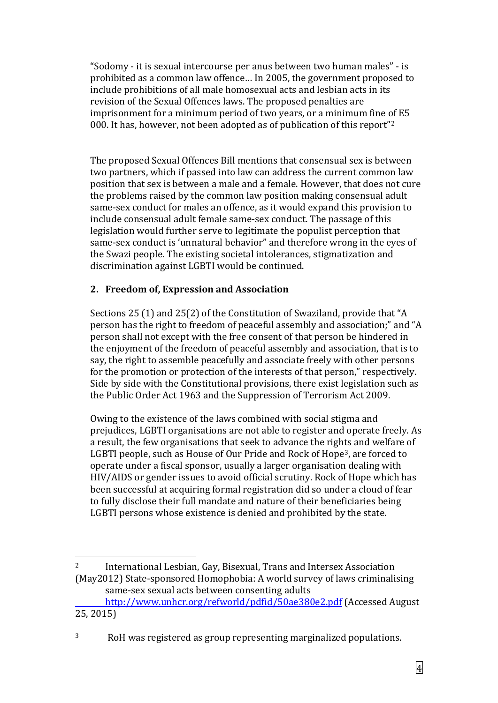"Sodomy - it is sexual intercourse per anus between two human males" - is prohibited as a common law offence… In 2005, the government proposed to include prohibitions of all male homosexual acts and lesbian acts in its revision of the Sexual Offences laws. The proposed penalties are imprisonment for a minimum period of two years, or a minimum fine of E5 000. It has, however, not been adopted as of publication of this report"<sup>2</sup>

The proposed Sexual Offences Bill mentions that consensual sex is between two partners, which if passed into law can address the current common law position that sex is between a male and a female. However, that does not cure the problems raised by the common law position making consensual adult same-sex conduct for males an offence, as it would expand this provision to include consensual adult female same-sex conduct. The passage of this legislation would further serve to legitimate the populist perception that same-sex conduct is 'unnatural behavior" and therefore wrong in the eyes of the Swazi people. The existing societal intolerances, stigmatization and discrimination against LGBTI would be continued.

### **2. Freedom of, Expression and Association**

<u>.</u>

Sections 25 (1) and 25(2) of the Constitution of Swaziland, provide that "A person has the right to freedom of peaceful assembly and association;" and "A person shall not except with the free consent of that person be hindered in the enjoyment of the freedom of peaceful assembly and association, that is to say, the right to assemble peacefully and associate freely with other persons for the promotion or protection of the interests of that person," respectively. Side by side with the Constitutional provisions, there exist legislation such as the Public Order Act 1963 and the Suppression of Terrorism Act 2009.

Owing to the existence of the laws combined with social stigma and prejudices, LGBTI organisations are not able to register and operate freely. As a result, the few organisations that seek to advance the rights and welfare of LGBTI people, such as House of Our Pride and Rock of Hope3, are forced to operate under a fiscal sponsor, usually a larger organisation dealing with HIV/AIDS or gender issues to avoid official scrutiny. Rock of Hope which has been successful at acquiring formal registration did so under a cloud of fear to fully disclose their full mandate and nature of their beneficiaries being LGBTI persons whose existence is denied and prohibited by the state.

<sup>2</sup> International Lesbian, Gay, Bisexual, Trans and Intersex Association (May2012) State-sponsored Homophobia: A world survey of laws criminalising same-sex sexual acts between consenting adults

<http://www.unhcr.org/refworld/pdfid/50ae380e2.pdf> (Accessed August 25, 2015)

<sup>3</sup> RoH was registered as group representing marginalized populations.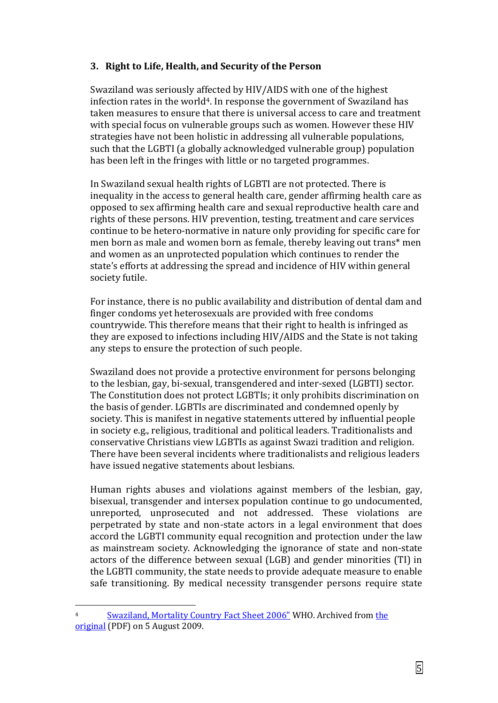#### **3. Right to Life, Health, and Security of the Person**

Swaziland was seriously affected by HIV/AIDS with one of the highest infection rates in the world<sup>4</sup>. In response the government of Swaziland has taken measures to ensure that there is universal access to care and treatment with special focus on vulnerable groups such as women. However these HIV strategies have not been holistic in addressing all vulnerable populations, such that the LGBTI (a globally acknowledged vulnerable group) population has been left in the fringes with little or no targeted programmes.

In Swaziland sexual health rights of LGBTI are not protected. There is inequality in the access to general health care, gender affirming health care as opposed to sex affirming health care and sexual reproductive health care and rights of these persons. HIV prevention, testing, treatment and care services continue to be hetero-normative in nature only providing for specific care for men born as male and women born as female, thereby leaving out trans\* men and women as an unprotected population which continues to render the state's efforts at addressing the spread and incidence of HIV within general society futile.

For instance, there is no public availability and distribution of dental dam and finger condoms yet heterosexuals are provided with free condoms countrywide. This therefore means that their right to health is infringed as they are exposed to infections including HIV/AIDS and the State is not taking any steps to ensure the protection of such people.

Swaziland does not provide a protective environment for persons belonging to the lesbian, gay, bi-sexual, transgendered and inter-sexed (LGBTI) sector. The Constitution does not protect LGBTIs; it only prohibits discrimination on the basis of gender. LGBTIs are discriminated and condemned openly by society. This is manifest in negative statements uttered by influential people in society e.g., religious, traditional and political leaders. Traditionalists and conservative Christians view LGBTIs as against Swazi tradition and religion. There have been several incidents where traditionalists and religious leaders have issued negative statements about lesbians.

Human rights abuses and violations against members of the lesbian, gay, bisexual, transgender and intersex population continue to go undocumented, unreported, unprosecuted and not addressed. These violations are perpetrated by state and non-state actors in a legal environment that does accord the LGBTI community equal recognition and protection under the law as mainstream society. Acknowledging the ignorance of state and non-state actors of the difference between sexual (LGB) and gender minorities (TI) in the LGBTI community, the state needs to provide adequate measure to enable safe transitioning. By medical necessity transgender persons require state

<u>.</u>

<sup>&</sup>lt;sup>4</sup> [Swaziland, Mortality Country Fact Sheet 2006"](http://web.archive.org/web/20090805140020/http:/www.who.int/whosis/mort/profiles/mort_afro_swz_swaziland.pdf) WHO. Archived from the [original](http://www.who.int/whosis/mort/profiles/mort_afro_swz_swaziland.pdf) (PDF) on 5 August 2009.